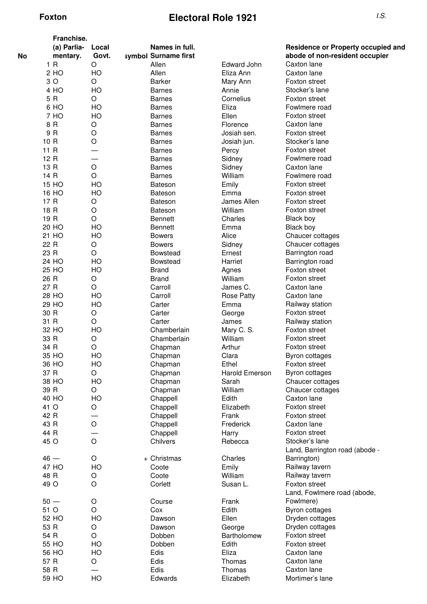## **Foxton Electoral Role 1921** I.S.

**Franchise.**

**No**

| (a) Parlia-<br>mentary. | Local<br>Govt. | Names in full.<br>symbol Surname first |                       | Residence<br>abode of no     |
|-------------------------|----------------|----------------------------------------|-----------------------|------------------------------|
| 1 R                     | O              | Allen                                  | Edward John           | Caxton lane                  |
| 2 HO                    | HO             | Allen                                  | Eliza Ann             | Caxton lane                  |
| 3 O                     | O              | <b>Barker</b>                          | Mary Ann              | Foxton stree                 |
| 4 HO                    | HO             | <b>Barnes</b>                          | Annie                 | Stocker's lar                |
| 5 R                     | O              | <b>Barnes</b>                          | Cornelius             | Foxton stree                 |
| 6 HO                    | HO             | <b>Barnes</b>                          | Eliza                 | Fowlmere ro                  |
| 7 HO                    | HO             | <b>Barnes</b>                          | Ellen                 | Foxton stree                 |
| 8 R                     | O              | <b>Barnes</b>                          | Florence              | Caxton lane                  |
| 9 R                     | O              | <b>Barnes</b>                          | Josiah sen.           | Foxton stree                 |
| 10 R                    | O              | <b>Barnes</b>                          | Josiah jun.           | Stocker's la                 |
| 11 R                    |                | <b>Barnes</b>                          | Percy                 | Foxton stree                 |
| 12 R                    |                | <b>Barnes</b>                          | Sidney                | Fowlmere ro                  |
| 13 R                    | O              | <b>Barnes</b>                          | Sidney                | Caxton lane                  |
| 14 R                    | O              | <b>Barnes</b>                          | William               | Fowlmere ro                  |
| 15 HO                   | HO             | Bateson                                | Emily                 | Foxton stree                 |
| 16 HO                   | HO             | Bateson                                | Emma                  | Foxton stree                 |
| 17R                     | O              | Bateson                                | James Allen           | Foxton stree                 |
| 18 R<br>19 R            | O<br>O         | <b>Bateson</b>                         | William<br>Charles    | Foxton stree                 |
| 20 HO                   | HO             | <b>Bennett</b><br><b>Bennett</b>       | Emma                  | Black boy                    |
| 21 HO                   | HO             | <b>Bowers</b>                          | Alice                 | Black boy<br>Chaucer cot     |
| 22 R                    | O              | <b>Bowers</b>                          | Sidney                | Chaucer cot                  |
| 23 R                    | O              | <b>Bowstead</b>                        | Ernest                | Barrington re                |
| 24 HO                   | HO             | <b>Bowstead</b>                        | Harriet               | Barrington re                |
| 25 HO                   | HO             | <b>Brand</b>                           | Agnes                 | Foxton stree                 |
| 26 R                    | O              | <b>Brand</b>                           | William               | Foxton stree                 |
| 27 R                    | O              | Carroll                                | James C.              | Caxton lane                  |
| 28 HO                   | HO             | Carroll                                | <b>Rose Patty</b>     | Caxton lane                  |
| 29 HO                   | HO             | Carter                                 | Emma                  | Railway stat                 |
| 30 R                    | O              | Carter                                 | George                | Foxton stree                 |
| 31 R                    | O              | Carter                                 | James                 | Railway stat                 |
| 32 HO                   | HO             | Chamberlain                            | Mary C. S.            | Foxton stree                 |
| 33 R                    | O              | Chamberlain                            | William               | Foxton stree                 |
| 34 R                    | O              | Chapman                                | Arthur                | Foxton stree                 |
| 35 HO                   | HO             | Chapman                                | Clara                 | Byron cottag                 |
| 36 HO                   | HO             | Chapman                                | Ethel                 | Foxton stree                 |
| 37 R                    | O              | Chapman                                | <b>Harold Emerson</b> | Byron cottag                 |
| 38 HO                   | HO             | Chapman                                | Sarah                 | Chaucer cot                  |
| 39 R                    | O              | Chapman                                | William               | Chaucer cot                  |
| 40 HO<br>41 O           | HO             | Chappell<br>Chappell                   | Edith<br>Elizabeth    | Caxton lane                  |
| 42 R                    | O              | Chappell                               | Frank                 | Foxton stree<br>Foxton stree |
| 43 R                    | O              | Chappell                               | Frederick             | Caxton lane                  |
| 44 R                    |                | Chappell                               | Harry                 | Foxton stree                 |
| 45 O                    | O              | Chilvers                               | Rebecca               | Stocker's lar                |
|                         |                |                                        |                       | Land, Barrin                 |
| $46 -$                  | O              | + Christmas                            | Charles               | Barrington)                  |
| 47 HO                   | HO             | Coote                                  | Emily                 | Railway tave                 |
| 48 R                    | O              | Coote                                  | William               | Railway tave                 |
| 49 O                    | O              | Corlett                                | Susan L.              | Foxton stree                 |
|                         |                |                                        |                       | Land, Fowln                  |
| $50 -$                  | O              | Course                                 | Frank                 | Fowlmere)                    |
| 51 O                    | O              | Cox                                    | Edith                 | Byron cottag                 |
| 52 HO                   | HO             | Dawson                                 | Ellen                 | Dryden cotta                 |
| 53 R                    | O              | Dawson                                 | George                | Dryden cotta                 |
| 54 R                    | O              | Dobben                                 | Bartholomew           | Foxton stree                 |
| 55 HO                   | HO             | Dobben                                 | Edith                 | Foxton stree                 |
| 56 HO                   | HO             | Edis                                   | Eliza                 | Caxton lane                  |
| 57 R                    | O              | Edis                                   | Thomas                | Caxton lane                  |
| 58 R                    |                | Edis                                   | Thomas                | Caxton lane                  |
| 59 HO                   | HO             | Edwards                                | Elizabeth             | Mortimer's la                |

Edward John Caxton lane **3 Mary Ann Foxton street**<br>3 **O Annie** Christer's lane **5** Cornelius **Foxton street**<br> **Eliza** Fowlmere road Eliza Fowlmere road<br>Fllen Foxton street Florence Caxton lane Josiah sen. Foxton street Josiah jun. Stocker's lane Percy **Foxton street** Sidney **Fowlmere road** Sidney Caxton lane William Fowlmere road 15 **15 Emily** Emily Foxton street n **Emma** Foxton street 17 **James Allen** Foxton street 1 **18 R O Bateson William** Foxton street ad **Ernest** Barrington road ad **Harriet** Barrington road Agnes Foxton street William Foxton street James C. Caxton lane Rose Patty Caxton lane Emma Railway station George Foxton street James Railway station erlain **Mary C. S.** Foxton street erlain **William** Foxton street an **34 Arthur Arthur** Foxton street an Clara Byron cottages an Ethel Foxton street an **Barold Emerson** Byron cottages <sup>1</sup> Elizabeth **Foxton street**  $H$  Frank Foxton street <sup>1</sup> R *Frederick* Caxton lane  $\mathsf{H}$  Harry Foxton street Rebecca Stocker's lane as Charles Emily Railway tavern William Railway tavern Susan L. Foxton street Edith Byron cottages Bartholomew Foxton street Edith Foxton street<br>
Fliza Caxton lane Thomas Caxton lane Thomas Caxton lane

## **Residence or Property occupied and abode of non-resident occupier**

Stocker's lane Foxton street Alice Chaucer cottages Sidney Chaucer cottages an Sarah Chaucer cottages an **William** Chaucer cottages Land, Barrington road (abode - Barrington) Land, Fowlmere road (abode, Fowlmere) Ellen Dryden cottages George Dryden cottages Caxton lane s Elizabeth Mortimer's lane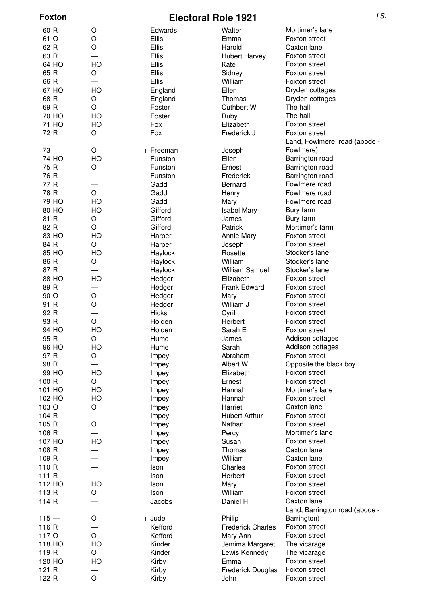| <b>Foxton</b>   |            |                | <b>Electoral Role 1921</b> | I.S.                             |
|-----------------|------------|----------------|----------------------------|----------------------------------|
| 60 R            | O          | Edwards        | Walter                     | Mortimer's lane                  |
| 61 O            | $\circ$    | Ellis          | Emma                       | Foxton street                    |
| 62 R            | O          | Ellis          | Harold                     | Caxton lane                      |
| 63 R            |            | Ellis          | <b>Hubert Harvey</b>       | Foxton street                    |
| 64 HO           | HO         | Ellis          | Kate                       | Foxton street                    |
| 65 R            | O          | Ellis          | Sidney                     | Foxton street                    |
| 66 R            |            | Ellis          | William                    | Foxton street                    |
| 67 HO           | HO         | England        | Ellen                      | Dryden cottages                  |
| 68 R            | O          | England        | Thomas                     | Dryden cottages                  |
| 69 R            | $\circ$    | Foster         | Cuthbert W                 | The hall                         |
| 70 HO           | HO         | Foster         | Ruby                       | The hall                         |
| 71 HO           | HO         | Fox            | Elizabeth                  | Foxton street                    |
| 72 R            | O          | Fox            | Frederick J                | Foxton street                    |
|                 |            |                |                            | Land, Fowlmere road (abode -     |
| 73              | O          | + Freeman      | Joseph                     | Fowlmere)                        |
| 74 HO           | HO         | Funston        | Ellen                      | Barrington road                  |
| 75 R            | O          | Funston        | Ernest                     | Barrington road                  |
| 76 R            |            | Funston        | Frederick                  | Barrington road                  |
| 77 R<br>78 R    | O          | Gadd           | Bernard                    | Fowlmere road<br>Fowlmere road   |
| 79 HO           | HO         | Gadd<br>Gadd   | Henry                      | Fowlmere road                    |
| 80 HO           | HO         | Gifford        | Mary<br><b>Isabel Mary</b> | Bury farm                        |
| 81 R            | O          | Gifford        | James                      | Bury farm                        |
| 82 R            | O          | Gifford        | Patrick                    | Mortimer's farm                  |
| 83 HO           | HO         | Harper         | <b>Annie Mary</b>          | Foxton street                    |
| 84 R            | O          | Harper         | Joseph                     | Foxton street                    |
| 85 HO           | HO         | Haylock        | Rosette                    | Stocker's lane                   |
| 86 R            | O          | Haylock        | William                    | Stocker's lane                   |
| 87 R            |            | Haylock        | <b>William Samuel</b>      | Stocker's lane                   |
| 88 HO           | HO         | Hedger         | Elizabeth                  | Foxton street                    |
| 89 R            |            | Hedger         | Frank Edward               | Foxton street                    |
| 90 O            | O          | Hedger         | Mary                       | Foxton street                    |
| 91 R            | $\circ$    | Hedger         | William J                  | Foxton street                    |
| 92 R            |            | <b>Hicks</b>   | Cyril                      | Foxton street                    |
| 93 R            | $\circ$    | Holden         | Herbert                    | Foxton street                    |
| 94 HO           | HO         | Holden         | Sarah E                    | Foxton street                    |
| 95 R            | O          | Hume           | James                      | Addison cottages                 |
| 96 HO           | HO         | Hume           | Sarah                      | Addison cottages                 |
| 97 R            | O          | Impey          | Abraham                    | Foxton street                    |
| 98 R            |            | Impey          | Albert W                   | Opposite the black boy           |
| 99 HO           | HO         | Impey          | Elizabeth                  | Foxton street                    |
| 100 R           | O          | Impey          | Ernest                     | Foxton street                    |
| 101 HO          | HO         | Impey          | Hannah                     | Mortimer's lane                  |
| 102 HO          | HO         | Impey          | Hannah                     | Foxton street                    |
| 103 O           | O          | Impey          | Harriet                    | Caxton lane                      |
| 104 R           |            | Impey          | <b>Hubert Arthur</b>       | Foxton street                    |
| 105 R           | O          | Impey          | Nathan                     | Foxton street<br>Mortimer's lane |
| 106 R<br>107 HO | HO         | Impey          | Percy<br>Susan             | Foxton street                    |
| 108 R           |            | Impey<br>Impey | Thomas                     | Caxton lane                      |
| 109 R           |            | Impey          | William                    | Caxton lane                      |
| 110 R           |            | Ison           | Charles                    | Foxton street                    |
| 111 R           |            | Ison           | Herbert                    | Foxton street                    |
| 112 HO          | HO         | Ison           | Mary                       | Foxton street                    |
| 113 R           | O          | Ison           | William                    | Foxton street                    |
| 114 R           |            | Jacobs         | Daniel H.                  | Caxton lane                      |
|                 |            |                |                            | Land, Barrington road (abode -   |
| $115 -$         | O          | + Jude         | Philip                     | Barrington)                      |
| 116 R           |            | Kefford        | <b>Frederick Charles</b>   | Foxton street                    |
| 117 O           | $\circ$    | Kefford        | Mary Ann                   | Foxton street                    |
| 118 HO          | HO         | Kinder         | Jemima Margaret            | The vicarage                     |
| 119 R           | O          | Kinder         | Lewis Kennedy              | The vicarage                     |
| 120 HO          | HO         | Kirby          | Emma                       | Foxton street                    |
| 121 R           |            | Kirby          | Frederick Douglas          | Foxton street                    |
| 122 R           | $\bigcirc$ | Kirby          | John                       | Foxton street                    |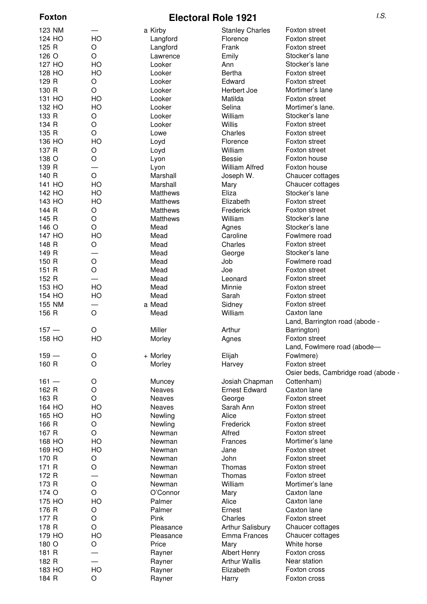| <b>Foxton</b> | <b>Electoral Role 1921</b> |               |                        |                                     |
|---------------|----------------------------|---------------|------------------------|-------------------------------------|
| 123 NM        |                            | a Kirby       | <b>Stanley Charles</b> | Foxton street                       |
| 124 HO        | HO                         | Langford      | Florence               | Foxton street                       |
| 125 R         | O                          | Langford      | Frank                  | Foxton street                       |
| 126 O         | O                          | Lawrence      | Emily                  | Stocker's lane                      |
| 127 HO        | HO                         | Looker        | Ann                    | Stocker's lane                      |
| 128 HO        | HO                         | Looker        | <b>Bertha</b>          | Foxton street                       |
| 129 R         | O                          | Looker        | Edward                 | Foxton street                       |
| 130 R         | O                          | Looker        | Herbert Joe            | Mortimer's lane                     |
| 131 HO        | HO                         | Looker        | Matilda                | Foxton street                       |
| 132 HO        | HO                         | Looker        | Selina                 | Mortimer's lane.                    |
| 133 R         | O                          | Looker        | William                | Stocker's lane                      |
| 134 R         | O                          | Looker        | Willis                 | Foxton street                       |
| 135 R         | O                          | Lowe          | Charles                | Foxton street                       |
| 136 HO        | HO                         | Loyd          | Florence               | Foxton street                       |
| 137 R         | $\circ$                    | Loyd          | William                | Foxton street                       |
| 138 O         | $\circ$                    | Lyon          | <b>Bessie</b>          | Foxton house                        |
| 139 R         | —                          | Lyon          | <b>William Alfred</b>  | Foxton house                        |
| 140 R         | $\circ$                    | Marshall      | Joseph W.              | Chaucer cottages                    |
| 141 HO        | HO                         | Marshall      | Mary                   | Chaucer cottages                    |
| 142 HO        | HO                         | Matthews      | Eliza                  | Stocker's lane                      |
| 143 HO        | HO                         | Matthews      | Elizabeth              | Foxton street                       |
| 144 R         | O                          | Matthews      | Frederick              | Foxton street                       |
| 145 R         | O                          | Matthews      | William                | Stocker's lane                      |
| 146 O         | O                          | Mead          | Agnes                  | Stocker's lane                      |
| 147 HO        | HO                         | Mead          | Caroline               | Fowlmere road                       |
| 148 R         | O                          | Mead          | Charles                | Foxton street                       |
| 149 R         |                            | Mead          | George                 | Stocker's lane                      |
| 150 R         | $\mathsf O$                | Mead          | Job                    | Fowlmere road                       |
| 151 R         | $\mathsf O$                | Mead          | Joe                    | Foxton street                       |
| 152 R         |                            | Mead          | Leonard                | Foxton street                       |
| 153 HO        | HO                         | Mead          | Minnie                 | Foxton street                       |
| 154 HO        | HO                         | Mead          | Sarah                  | Foxton street                       |
| 155 NM        |                            | a Mead        | Sidney                 | Foxton street                       |
| 156 R         | $\circ$                    | Mead          | William                | Caxton lane                         |
|               |                            |               |                        | Land, Barrington road (abode -      |
| $157 -$       | O                          | Miller        | Arthur                 | Barrington)                         |
| 158 HO        | HO                         | Morley        | Agnes                  | Foxton street                       |
|               |                            |               |                        | Land, Fowlmere road (abode-         |
| $159 -$       | O                          | + Morley      | Elijah                 | Fowlmere)                           |
| 160 R         | O                          | Morley        | Harvey                 | Foxton street                       |
|               |                            |               |                        | Osier beds, Cambridge road (abode - |
| $161 -$       | $\circ$                    | Muncey        | Josiah Chapman         | Cottenham)                          |
| 162 R         | O                          | Neaves        | <b>Ernest Edward</b>   | Caxton lane                         |
| 163 R         | O                          | <b>Neaves</b> | George                 | Foxton street                       |
| 164 HO        | HO                         | Neaves        | Sarah Ann              | Foxton street                       |
| 165 HO        | HO                         | Newling       | Alice                  | Foxton street                       |
| 166 R         | O                          | Newling       | Frederick              | Foxton street                       |
| 167 R         | $\mathsf O$                | Newman        | Alfred                 | Foxton street                       |
| 168 HO        | HO                         | Newman        | Frances                | Mortimer's lane                     |
| 169 HO        | HO                         | Newman        | Jane                   | Foxton street                       |
| 170 R         | O                          | Newman        | John                   | Foxton street                       |
| 171 R         | O                          | Newman        | Thomas                 | Foxton street                       |
| 172 R         |                            | Newman        | Thomas                 | Foxton street                       |
| 173 R         | $\hbox{O}$                 | Newman        | William                | Mortimer's lane                     |
| 174 O         | $\bigcirc$                 | O'Connor      | Mary                   | Caxton lane                         |
| 175 HO        | HO                         | Palmer        | Alice                  | Caxton lane                         |
| 176 R         | O                          | Palmer        | Ernest                 | Caxton lane                         |
| 177 R         | O                          | Pink          | Charles                | Foxton street                       |
| 178 R         | O                          | Pleasance     | Arthur Salisbury       | Chaucer cottages                    |
| 179 HO        | HO                         | Pleasance     | Emma Frances           | Chaucer cottages                    |
| 180 O         | O                          | Price         | Mary                   | White horse                         |
| 181 R         |                            | Rayner        | <b>Albert Henry</b>    | Foxton cross                        |
| 182 R         |                            | Rayner        | <b>Arthur Wallis</b>   | Near station                        |
| 183 HO        | HO                         | Rayner        | Elizabeth              | Foxton cross                        |
| 184 R         | O                          | Rayner        | Harry                  | Foxton cross                        |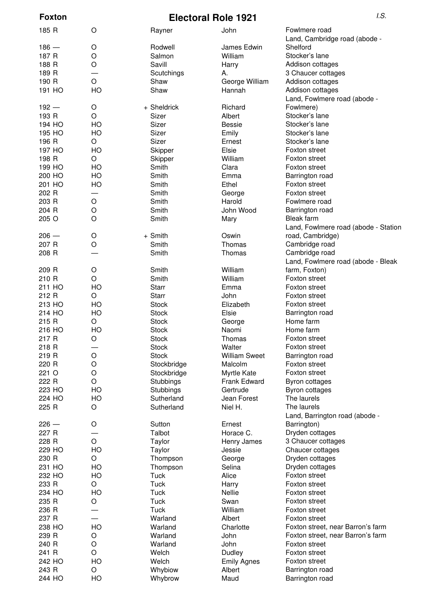| <b>Foxton</b>    | <b>Electoral Role 1921</b> |                  |                      | I.S.                                           |  |
|------------------|----------------------------|------------------|----------------------|------------------------------------------------|--|
| 185 R            | O                          | Rayner           | John                 | Fowlmere road<br>Land, Cambridge road (abode - |  |
| $186 -$          | O                          | Rodwell          | James Edwin          | Shelford                                       |  |
| 187 R            | O                          | Salmon           | William              | Stocker's lane                                 |  |
| 188 R            | O                          | Savill           | Harry                | Addison cottages                               |  |
| 189 R            |                            | Scutchings       | А.                   | 3 Chaucer cottages                             |  |
| 190 R            | $\circ$                    | Shaw             | George William       | Addison cottages                               |  |
| 191 HO           | HO                         | Shaw             | Hannah               | Addison cottages                               |  |
|                  |                            |                  |                      | Land, Fowlmere road (abode -                   |  |
| $192 -$          | O                          | + Sheldrick      | Richard              | Fowlmere)                                      |  |
| 193 R            | O                          | Sizer            | Albert               | Stocker's lane                                 |  |
| 194 HO           | HO                         | Sizer            | <b>Bessie</b>        | Stocker's lane                                 |  |
| 195 HO           | HO                         | Sizer            | Emily                | Stocker's lane                                 |  |
| 196 R            | O                          | Sizer            | Ernest               | Stocker's lane                                 |  |
| 197 HO           | HO                         | Skipper          | Elsie                | Foxton street                                  |  |
| 198 R            | O                          | Skipper          | William              | Foxton street                                  |  |
| 199 HO           | HO                         | Smith            | Clara                | Foxton street                                  |  |
| 200 HO           | HO                         | Smith            | Emma                 | Barrington road                                |  |
| 201 HO           | HO                         | Smith            | Ethel                | Foxton street                                  |  |
| 202 R            |                            | Smith            | George               | Foxton street                                  |  |
| 203 R            | $\mathsf O$                | Smith            | Harold               | Fowlmere road                                  |  |
| 204 R            | $\mathsf O$                | Smith            | John Wood            | Barrington road                                |  |
| 205 O            | $\circ$                    | Smith            | Mary                 | <b>Bleak</b> farm                              |  |
|                  |                            | + Smith          |                      | Land, Fowlmere road (abode - Station           |  |
| $206 -$<br>207 R | O<br>O                     | Smith            | Oswin<br>Thomas      | road, Cambridge)<br>Cambridge road             |  |
| 208 R            |                            | Smith            | Thomas               | Cambridge road                                 |  |
|                  |                            |                  |                      | Land, Fowlmere road (abode - Bleak             |  |
| 209 R            | O                          | Smith            | William              | farm, Foxton)                                  |  |
| 210 R            | $\circ$                    | Smith            | William              | Foxton street                                  |  |
| 211 HO           | HO                         | <b>Starr</b>     | Emma                 | Foxton street                                  |  |
| 212 R            | O                          | Starr            | John                 | Foxton street                                  |  |
| 213 HO           | HO                         | <b>Stock</b>     | Elizabeth            | Foxton street                                  |  |
| 214 HO           | HO                         | <b>Stock</b>     | Elsie                | Barrington road                                |  |
| 215 R            | O                          | <b>Stock</b>     | George               | Home farm                                      |  |
| 216 HO           | HO                         | <b>Stock</b>     | Naomi                | Home farm                                      |  |
| 217 R            | O                          | <b>Stock</b>     | Thomas               | Foxton street                                  |  |
| 218 R            |                            | <b>Stock</b>     | Walter               | Foxton street                                  |  |
| 219 R            | $\bigcirc$                 | <b>Stock</b>     | <b>William Sweet</b> | Barrington road                                |  |
| 220 R            | O                          | Stockbridge      | Malcolm              | Foxton street                                  |  |
| 221 O            | O                          | Stockbridge      | Myrtle Kate          | Foxton street                                  |  |
| 222 R            | $\circ$                    | Stubbings        | Frank Edward         | Byron cottages                                 |  |
| 223 HO           | HO                         | Stubbings        | Gertrude             | Byron cottages                                 |  |
| 224 HO           | HO                         | Sutherland       | Jean Forest          | The laurels                                    |  |
| 225 R            | O                          | Sutherland       | Niel H.              | The laurels                                    |  |
|                  |                            |                  | Ernest               | Land, Barrington road (abode -<br>Barrington)  |  |
| $226 -$<br>227 R | O                          | Sutton<br>Talbot | Horace C.            | Dryden cottages                                |  |
| 228 R            | O                          | Taylor           | Henry James          | 3 Chaucer cottages                             |  |
| 229 HO           | HO                         | Taylor           | Jessie               | Chaucer cottages                               |  |
| 230 R            | O                          | Thompson         | George               | Dryden cottages                                |  |
| 231 HO           | HO                         | Thompson         | Selina               | Dryden cottages                                |  |
| 232 HO           | HO                         | Tuck             | Alice                | Foxton street                                  |  |
| 233 R            | O                          | <b>Tuck</b>      | Harry                | Foxton street                                  |  |
| 234 HO           | HO                         | <b>Tuck</b>      | Nellie               | Foxton street                                  |  |
| 235 R            | O                          | <b>Tuck</b>      | Swan                 | Foxton street                                  |  |
| 236 R            |                            | <b>Tuck</b>      | William              | Foxton street                                  |  |
| 237 R            |                            | Warland          | Albert               | Foxton street                                  |  |
| 238 HO           | HO                         | Warland          | Charlotte            | Foxton street, near Barron's farm              |  |
| 239 R            | O                          | Warland          | John                 | Foxton street, near Barron's farm              |  |
| 240 R            | O                          | Warland          | John                 | Foxton street                                  |  |
| 241 R            | $\circ$                    | Welch            | Dudley               | Foxton street                                  |  |
| 242 HO           | HO                         | Welch            | <b>Emily Agnes</b>   | Foxton street                                  |  |
| 243 R            | O                          | Whybiow          | Albert               | Barrington road                                |  |
| 244 HO           | HO                         | Whybrow          | Maud                 | Barrington road                                |  |